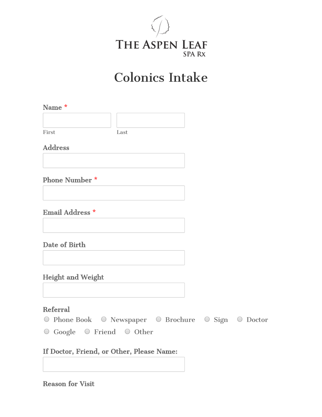

# Colonics Intake

| Name *                |      |
|-----------------------|------|
|                       |      |
| First                 | Last |
| <b>Address</b>        |      |
|                       |      |
| <b>Phone Number *</b> |      |
|                       |      |

Email Address \*

Date of Birth

Height and Weight

## Referral

O Phone Book O Newspaper O Brochure O Sign O Doctor O Google O Friend O Other

If Doctor, Friend, or Other, Please Name:

Reason for Visit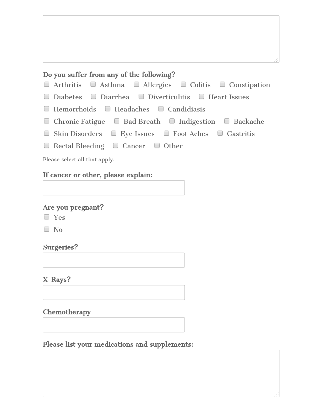#### Do you suffer from any of the following?

- $\Box$  Arthritis  $\Box$  Asthma  $\Box$  Allergies  $\Box$  Colitis  $\Box$  Constipation
- $\Box$  Diabetes  $\Box$  Diarrhea  $\Box$  Diverticulitis  $\Box$  Heart Issues
- $\Box$  Hemorrhoids  $\Box$  Headaches  $\Box$  Candidiasis
- $\Box$  Chronic Fatigue  $\Box$  Bad Breath  $\Box$  Indigestion  $\Box$  Backache
- $\Box$  Skin Disorders  $\Box$  Eye Issues  $\Box$  Foot Aches  $\Box$  Gastritis
- $\Box$  Rectal Bleeding  $\Box$  Cancer  $\Box$  Other

Please select all that apply.

#### If cancer or other, please explain:

#### Are you pregnant?

Yes

 $\Box$  No

#### Surgeries?

X-Rays?

Chemotherapy

#### Please list your medications and supplements: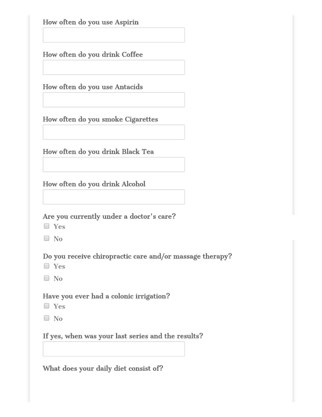How often do you use Aspirin

How often do you drink Coffee

How often do you use Antacids

How often do you smoke Cigarettes

How often do you drink Black Tea

How often do you drink Alcohol

## Are you currently under a doctor's care?

- Yes
- $\Box$  No

Do you receive chiropractic care and/or massage therapy?

- Yes
- No

## Have you ever had a colonic irrigation?

- Yes
- $\Box$  No

# If yes, when was your last series and the results?

What does your daily diet consist of?